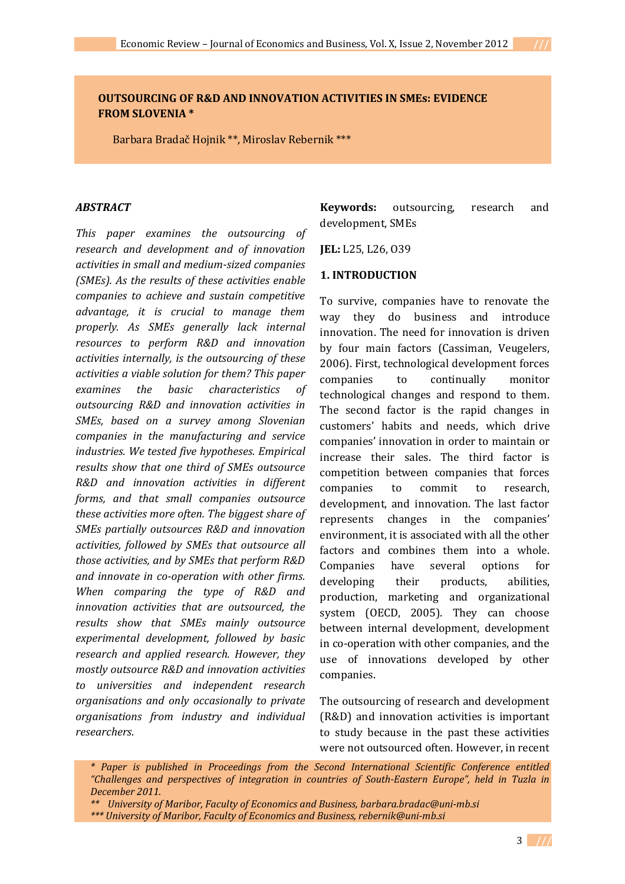# **OUTSOURCING OF R&D AND INNOVATION ACTIVITIES IN SMEs: EVIDENCE FROM SLOVENIA \***

Barbara Bradač Hojnik \*\*, Miroslav Rebernik \*\*\*

#### *ABSTRACT*

*This paper examines the outsourcing of research and development and of innovation activities in small and medium-sized companies (SMEs). As the results of these activities enable companies to achieve and sustain competitive advantage, it is crucial to manage them properly. As SMEs generally lack internal resources to perform R&D and innovation activities internally, is the outsourcing of these activities a viable solution for them? This paper examines the basic characteristics of outsourcing R&D and innovation activities in SMEs, based on a survey among Slovenian companies in the manufacturing and service industries. We tested five hypotheses. Empirical results show that one third of SMEs outsource R&D and innovation activities in different forms, and that small companies outsource these activities more often. The biggest share of SMEs partially outsources R&D and innovation activities, followed by SMEs that outsource all those activities, and by SMEs that perform R&D and innovate in co-operation with other firms. When comparing the type of R&D and innovation activities that are outsourced, the results show that SMEs mainly outsource experimental development, followed by basic research and applied research. However, they mostly outsource R&D and innovation activities to universities and independent research organisations and only occasionally to private organisations from industry and individual researchers*.

**Keywords:** outsourcing, research and development, SMEs

**JEL:** L25, L26, O39

#### **1. INTRODUCTION**

To survive, companies have to renovate the way they do business and introduce innovation. The need for innovation is driven by four main factors (Cassiman, Veugelers, 2006). First, technological development forces companies to continually monitor technological changes and respond to them. The second factor is the rapid changes in customers' habits and needs, which drive companies' innovation in order to maintain or increase their sales. The third factor is competition between companies that forces companies to commit to research, development, and innovation. The last factor represents changes in the companies' environment, it is associated with all the other factors and combines them into a whole. Companies have several options for developing their products, abilities, production, marketing and organizational system (OECD, 2005). They can choose between internal development, development in co-operation with other companies, and the use of innovations developed by other companies.

The outsourcing of research and development (R&D) and innovation activities is important to study because in the past these activities were not outsourced often. However, in recent

*<sup>\*</sup> Paper is published in Proceedings from the Second International Scientific Conference entitled "Challenges and perspectives of integration in countries of South-Eastern Europe", held in Tuzla in December 2011.* 

*<sup>\*\*</sup> University of Maribor, Faculty of Economics and Business, barbara.bradac@uni-mb.si \*\*\* University of Maribor, Faculty of Economics and Business, rebernik@uni-mb.si*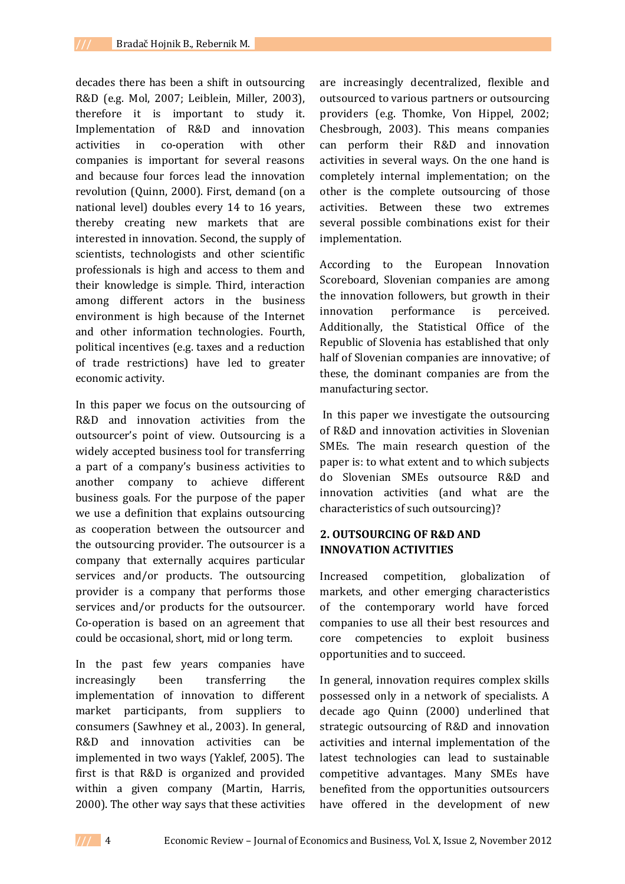decades there has been a shift in outsourcing R&D (e.g. Mol, 2007; Leiblein, Miller, 2003), therefore it is important to study it. Implementation of R&D and innovation activities in co-operation with other companies is important for several reasons and because four forces lead the innovation revolution (Quinn, 2000). First, demand (on a national level) doubles every 14 to 16 years, thereby creating new markets that are interested in innovation. Second, the supply of scientists, technologists and other scientific professionals is high and access to them and their knowledge is simple. Third, interaction among different actors in the business environment is high because of the Internet and other information technologies. Fourth, political incentives (e.g. taxes and a reduction of trade restrictions) have led to greater economic activity.

In this paper we focus on the outsourcing of R&D and innovation activities from the outsourcer's point of view. Outsourcing is a widely accepted business tool for transferring a part of a company's business activities to another company to achieve different business goals. For the purpose of the paper we use a definition that explains outsourcing as cooperation between the outsourcer and the outsourcing provider. The outsourcer is a company that externally acquires particular services and/or products. The outsourcing provider is a company that performs those services and/or products for the outsourcer. Co-operation is based on an agreement that could be occasional, short, mid or long term.

In the past few years companies have increasingly been transferring the implementation of innovation to different market participants, from suppliers to consumers (Sawhney et al., 2003). In general, R&D and innovation activities can be implemented in two ways (Yaklef, 2005). The first is that R&D is organized and provided within a given company (Martin, Harris, 2000). The other way says that these activities

are increasingly decentralized, flexible and outsourced to various partners or outsourcing providers (e.g. Thomke, Von Hippel, 2002; Chesbrough, 2003). This means companies can perform their R&D and innovation activities in several ways. On the one hand is completely internal implementation; on the other is the complete outsourcing of those activities. Between these two extremes several possible combinations exist for their implementation.

According to the European Innovation Scoreboard, Slovenian companies are among the innovation followers, but growth in their innovation performance is perceived. Additionally, the Statistical Office of the Republic of Slovenia has established that only half of Slovenian companies are innovative; of these, the dominant companies are from the manufacturing sector.

In this paper we investigate the outsourcing of R&D and innovation activities in Slovenian SMEs. The main research question of the paper is: to what extent and to which subjects do Slovenian SMEs outsource R&D and innovation activities (and what are the characteristics of such outsourcing)?

# **2. OUTSOURCING OF R&D AND INNOVATION ACTIVITIES**

Increased competition, globalization of markets, and other emerging characteristics of the contemporary world have forced companies to use all their best resources and core competencies to exploit business opportunities and to succeed.

In general, innovation requires complex skills possessed only in a network of specialists. A decade ago Quinn (2000) underlined that strategic outsourcing of R&D and innovation activities and internal implementation of the latest technologies can lead to sustainable competitive advantages. Many SMEs have benefited from the opportunities outsourcers have offered in the development of new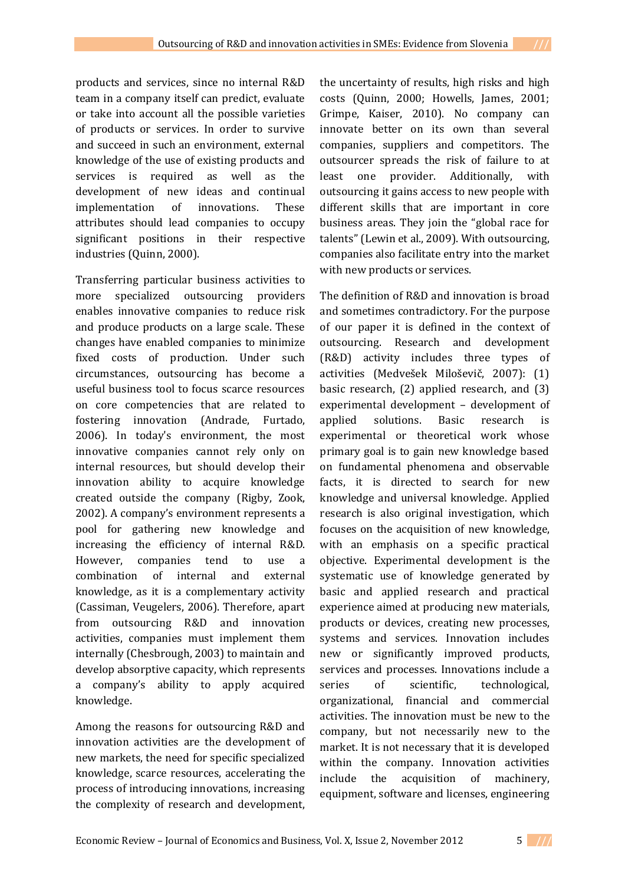products and services, since no internal R&D team in a company itself can predict, evaluate or take into account all the possible varieties of products or services. In order to survive and succeed in such an environment, external knowledge of the use of existing products and services is required as well as the development of new ideas and continual implementation of innovations. These attributes should lead companies to occupy significant positions in their respective industries (Quinn, 2000).

Transferring particular business activities to more specialized outsourcing providers enables innovative companies to reduce risk and produce products on a large scale. These changes have enabled companies to minimize fixed costs of production. Under such circumstances, outsourcing has become a useful business tool to focus scarce resources on core competencies that are related to fostering innovation (Andrade, Furtado, 2006). In today's environment, the most innovative companies cannot rely only on internal resources, but should develop their innovation ability to acquire knowledge created outside the company (Rigby, Zook, 2002). A company's environment represents a pool for gathering new knowledge and increasing the efficiency of internal R&D. However, companies tend to use a combination of internal and external knowledge, as it is a complementary activity (Cassiman, Veugelers, 2006). Therefore, apart from outsourcing R&D and innovation activities, companies must implement them internally (Chesbrough, 2003) to maintain and develop absorptive capacity, which represents a company's ability to apply acquired knowledge.

Among the reasons for outsourcing R&D and innovation activities are the development of new markets, the need for specific specialized knowledge, scarce resources, accelerating the process of introducing innovations, increasing the complexity of research and development,

the uncertainty of results, high risks and high costs (Quinn, 2000; Howells, James, 2001; Grimpe, Kaiser, 2010). No company can innovate better on its own than several companies, suppliers and competitors. The outsourcer spreads the risk of failure to at least one provider. Additionally, with outsourcing it gains access to new people with different skills that are important in core business areas. They join the "global race for talents" (Lewin et al., 2009). With outsourcing, companies also facilitate entry into the market with new products or services.

The definition of R&D and innovation is broad and sometimes contradictory. For the purpose of our paper it is defined in the context of outsourcing. Research and development (R&D) activity includes three types of activities (Medvešek Miloševič, 2007): (1) basic research, (2) applied research, and (3) experimental development – development of applied solutions. Basic research is experimental or theoretical work whose primary goal is to gain new knowledge based on fundamental phenomena and observable facts, it is directed to search for new knowledge and universal knowledge. Applied research is also original investigation, which focuses on the acquisition of new knowledge, with an emphasis on a specific practical objective. Experimental development is the systematic use of knowledge generated by basic and applied research and practical experience aimed at producing new materials, products or devices, creating new processes, systems and services. Innovation includes new or significantly improved products, services and processes. Innovations include a series of scientific, technological, organizational, financial and commercial activities. The innovation must be new to the company, but not necessarily new to the market. It is not necessary that it is developed within the company. Innovation activities include the acquisition of machinery, equipment, software and licenses, engineering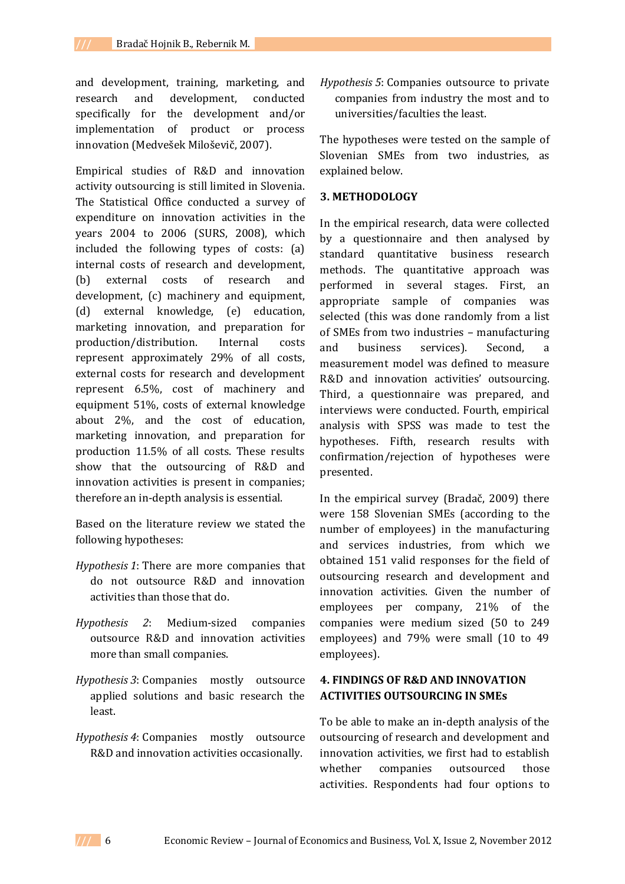and development, training, marketing, and research and development, conducted specifically for the development and/or implementation of product or process innovation (Medvešek Miloševič, 2007).

Empirical studies of R&D and innovation activity outsourcing is still limited in Slovenia. The Statistical Office conducted a survey of expenditure on innovation activities in the years 2004 to 2006 (SURS, 2008), which included the following types of costs: (a) internal costs of research and development, (b) external costs of research and development, (c) machinery and equipment, (d) external knowledge, (e) education, marketing innovation, and preparation for production/distribution. Internal costs represent approximately 29% of all costs, external costs for research and development represent 6.5%, cost of machinery and equipment 51%, costs of external knowledge about 2%, and the cost of education, marketing innovation, and preparation for production 11.5% of all costs. These results show that the outsourcing of R&D and innovation activities is present in companies; therefore an in-depth analysis is essential.

Based on the literature review we stated the following hypotheses:

- *Hypothesis 1*: There are more companies that do not outsource R&D and innovation activities than those that do.
- *Hypothesis 2*: Medium-sized companies outsource R&D and innovation activities more than small companies.
- *Hypothesis 3*: Companies mostly outsource applied solutions and basic research the least.
- *Hypothesis 4*: Companies mostly outsource R&D and innovation activities occasionally.

*Hypothesis 5*: Companies outsource to private companies from industry the most and to universities/faculties the least.

The hypotheses were tested on the sample of Slovenian SMEs from two industries, as explained below.

### **3. METHODOLOGY**

In the empirical research, data were collected by a questionnaire and then analysed by standard quantitative business research methods. The quantitative approach was performed in several stages. First, an appropriate sample of companies was selected (this was done randomly from a list of SMEs from two industries – manufacturing and business services). Second, a measurement model was defined to measure R&D and innovation activities' outsourcing. Third, a questionnaire was prepared, and interviews were conducted. Fourth, empirical analysis with SPSS was made to test the hypotheses. Fifth, research results with confirmation/rejection of hypotheses were presented.

In the empirical survey (Bradač, 2009) there were 158 Slovenian SMEs (according to the number of employees) in the manufacturing and services industries, from which we obtained 151 valid responses for the field of outsourcing research and development and innovation activities. Given the number of employees per company, 21% of the companies were medium sized (50 to 249 employees) and 79% were small (10 to 49 employees).

### **4. FINDINGS OF R&D AND INNOVATION ACTIVITIES OUTSOURCING IN SMEs**

To be able to make an in-depth analysis of the outsourcing of research and development and innovation activities, we first had to establish whether companies outsourced those activities. Respondents had four options to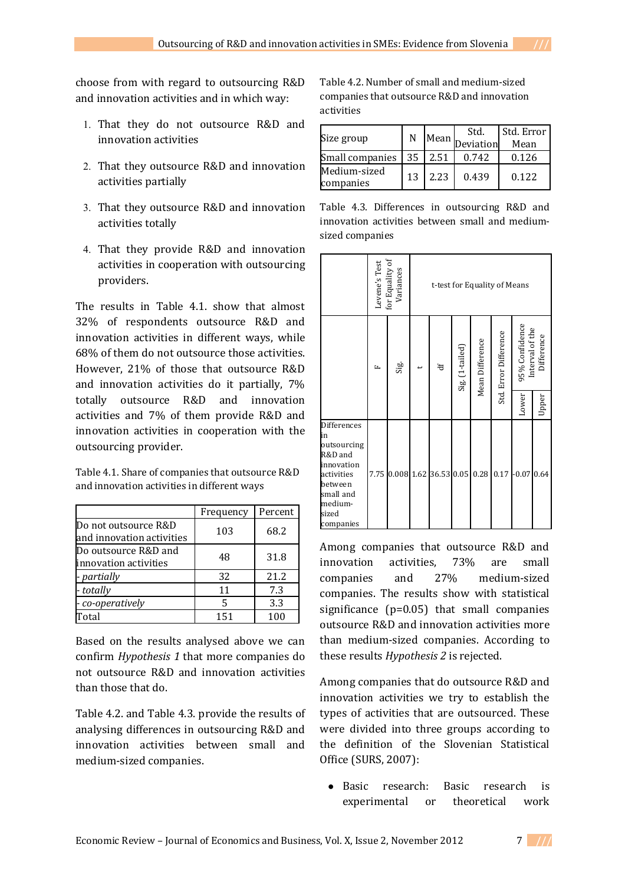choose from with regard to outsourcing R&D and innovation activities and in which way:

- 1. That they do not outsource R&D and innovation activities
- 2. That they outsource R&D and innovation activities partially
- 3. That they outsource R&D and innovation activities totally
- 4. That they provide R&D and innovation activities in cooperation with outsourcing providers.

The results in Table 4.1. show that almost 32% of respondents outsource R&D and innovation activities in different ways, while 68% of them do not outsource those activities. However, 21% of those that outsource R&D and innovation activities do it partially, 7% totally outsource R&D and innovation activities and 7% of them provide R&D and innovation activities in cooperation with the outsourcing provider.

Table 4.1. Share of companies that outsource R&D and innovation activities in different ways

|                                                   | Frequency | Percent |
|---------------------------------------------------|-----------|---------|
| Do not outsource R&D<br>and innovation activities | 103       | 68.2    |
| Do outsource R&D and<br>innovation activities     | 48        | 31.8    |
| - partially                                       | 32        | 21.2    |
| - totally                                         | 11        | 7.3     |
| - co-operatively                                  | 5         | 3.3     |
| Total                                             | 151       | 100     |

Based on the results analysed above we can confirm *Hypothesis 1* that more companies do not outsource R&D and innovation activities than those that do.

Table 4.2. and Table 4.3. provide the results of analysing differences in outsourcing R&D and innovation activities between small and medium-sized companies.

Table 4.2. Number of small and medium-sized companies that outsource R&D and innovation activities

| Size group                | N  | Mean, | Std.<br>Deviation | Std. Error<br>Mean |
|---------------------------|----|-------|-------------------|--------------------|
| Small companies           | 35 | 12.51 | 0.742             | 0.126              |
| Medium-sized<br>companies | 13 | 2.23  | 0.439             | 0.122              |

Table 4.3. Differences in outsourcing R&D and innovation activities between small and mediumsized companies

|                                                                                                                                  | Levene's Test | for Equality of Variances | t-test for Equality of Means |               |                 |                 |                       |                                   |            |       |
|----------------------------------------------------------------------------------------------------------------------------------|---------------|---------------------------|------------------------------|---------------|-----------------|-----------------|-----------------------|-----------------------------------|------------|-------|
|                                                                                                                                  | Щ             | Sig.                      |                              | $\frac{4}{5}$ | Sig. (1-tailed) | Mean Difference | Std. Error Difference | 95% Confidence<br>Interval of the | Difference |       |
|                                                                                                                                  |               |                           |                              |               |                 |                 |                       |                                   | Lower      | Upper |
| Differences<br>in<br>outsourcing<br>R&D and<br>innovation<br>activities<br>between<br>small and<br>medium-<br>sized<br>companies | 7.75          | $0.008$ 1.62              |                              | 36.53         | 0.05            | 0.28            | 0.17                  | $-0.07$                           | 0.64       |       |

Among companies that outsource R&D and innovation activities, 73% are small companies and 27% medium-sized companies. The results show with statistical significance (p=0.05) that small companies outsource R&D and innovation activities more than medium-sized companies. According to these results *Hypothesis 2* is rejected.

Among companies that do outsource R&D and innovation activities we try to establish the types of activities that are outsourced. These were divided into three groups according to the definition of the Slovenian Statistical Office (SURS, 2007):

● Basic research: Basic research is experimental or theoretical work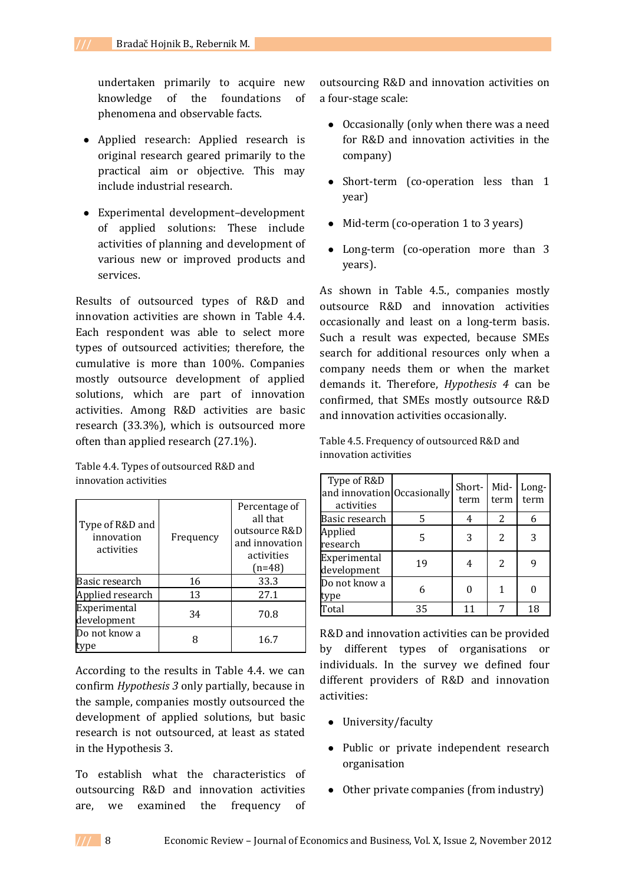undertaken primarily to acquire new knowledge of the foundations of phenomena and observable facts.

- Applied research: Applied research is original research geared primarily to the practical aim or objective. This may include industrial research.
- Experimental development–development of applied solutions: These include activities of planning and development of various new or improved products and services.

Results of outsourced types of R&D and innovation activities are shown in Table 4.4. Each respondent was able to select more types of outsourced activities; therefore, the cumulative is more than 100%. Companies mostly outsource development of applied solutions, which are part of innovation activities. Among R&D activities are basic research (33.3%), which is outsourced more often than applied research (27.1%).

Table 4.4. Types of outsourced R&D and innovation activities

| Type of R&D and<br>innovation<br>activities | Frequency | Percentage of<br>all that<br>outsource R&D<br>and innovation<br>activities<br>$(n=48)$ |
|---------------------------------------------|-----------|----------------------------------------------------------------------------------------|
| Basic research                              | 16        | 33.3                                                                                   |
| Applied research                            | 13        | 27.1                                                                                   |
| Experimental<br>development                 | 34        | 70.8                                                                                   |
| Do not know a                               |           | 16.7                                                                                   |

According to the results in Table 4.4. we can confirm *Hypothesis 3* only partially, because in the sample, companies mostly outsourced the development of applied solutions, but basic research is not outsourced, at least as stated in the Hypothesis 3.

To establish what the characteristics of outsourcing R&D and innovation activities are, we examined the frequency of outsourcing R&D and innovation activities on a four-stage scale:

- Occasionally (only when there was a need for R&D and innovation activities in the company)
- Short-term (co-operation less than 1 year)
- Mid-term (co-operation 1 to 3 years)
- Long-term (co-operation more than 3 years).

As shown in Table 4.5., companies mostly outsource R&D and innovation activities occasionally and least on a long-term basis. Such a result was expected, because SMEs search for additional resources only when a company needs them or when the market demands it. Therefore, *Hypothesis 4* can be confirmed, that SMEs mostly outsource R&D and innovation activities occasionally.

| Type of R&D<br>and innovation Occasionally<br>activities |    | Short-<br>term | Mid-<br>term | Long-<br>term |
|----------------------------------------------------------|----|----------------|--------------|---------------|
| Basic research                                           | 5  |                | 2            |               |
| Applied<br>research                                      |    | 3              | 2            |               |
| Experimental<br>development                              | 19 |                | 2            |               |
| Do not know a<br>type                                    |    |                |              |               |
| Total                                                    | 35 | 11             |              | 18            |

Table 4.5. Frequency of outsourced R&D and innovation activities

R&D and innovation activities can be provided by different types of organisations or individuals. In the survey we defined four different providers of R&D and innovation activities:

- University/faculty
- Public or private independent research organisation
- Other private companies (from industry)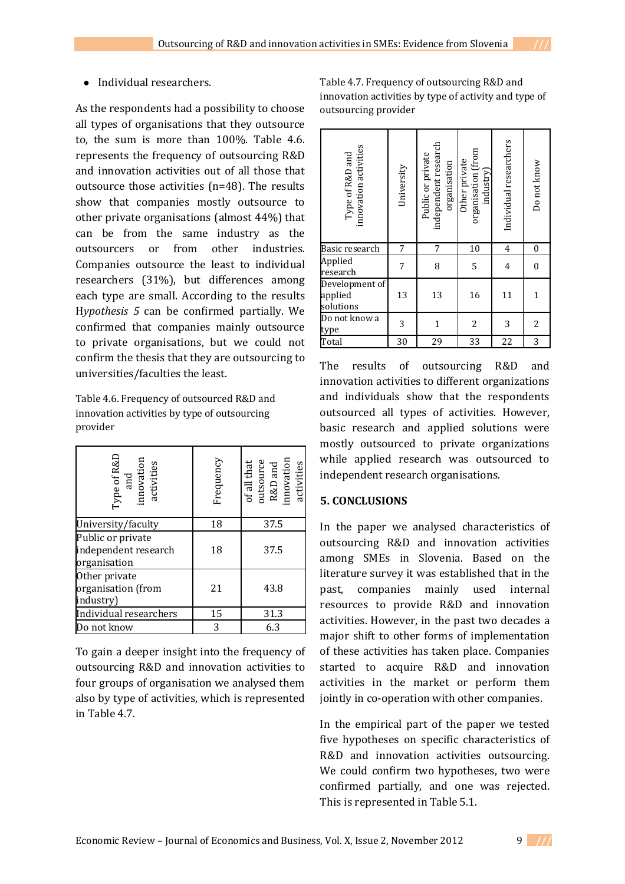### • Individual researchers.

As the respondents had a possibility to choose all types of organisations that they outsource to, the sum is more than 100%. Table 4.6. represents the frequency of outsourcing R&D and innovation activities out of all those that outsource those activities (n=48). The results show that companies mostly outsource to other private organisations (almost 44%) that can be from the same industry as the outsourcers or from other industries. Companies outsource the least to individual researchers (31%), but differences among each type are small. According to the results H*ypothesis 5* can be confirmed partially. We confirmed that companies mainly outsource to private organisations, but we could not confirm the thesis that they are outsourcing to universities/faculties the least.

Table 4.6. Frequency of outsourced R&D and innovation activities by type of outsourcing provider

| Type of R&D<br>and<br>innovation<br>innovation<br>activities | Frequency | of all that<br>outsource<br>R&D and<br>innovation<br>innovation<br>activities |
|--------------------------------------------------------------|-----------|-------------------------------------------------------------------------------|
| University/faculty                                           | 18        | 37.5                                                                          |
| Public or private<br>independent research<br>organisation    | 18        | 37.5                                                                          |
| Other private<br>organisation (from<br>industry)             | 21        | 43.8                                                                          |
| Individual researchers                                       | 15        | 31.3                                                                          |
| Do not know                                                  | 3         | 6.3                                                                           |

To gain a deeper insight into the frequency of outsourcing R&D and innovation activities to four groups of organisation we analysed them also by type of activities, which is represented in Table 4.7.

Table 4.7. Frequency of outsourcing R&D and innovation activities by type of activity and type of outsourcing provider

| innovation activities<br>Type of R&D and | University | independent research<br>Public or private<br>organisation | organisation (from<br>Other private<br>industry) | Individual researchers | Do not know      |
|------------------------------------------|------------|-----------------------------------------------------------|--------------------------------------------------|------------------------|------------------|
| Basic research                           | 7          | 7                                                         | 10                                               | $\overline{4}$         | 0                |
| Applied<br>research                      | 7          | 8                                                         | 5                                                | $\overline{4}$         | $\boldsymbol{0}$ |
| Development of<br>applied<br>solutions   | 13         | 13                                                        | 16                                               | 11                     | 1                |
| Do not know a<br>type                    | 3          | 1                                                         | 2                                                | 3                      | 2                |
| Total                                    | 30         | 29                                                        | 33                                               | 22                     | 3                |

The results of outsourcing R&D and innovation activities to different organizations and individuals show that the respondents outsourced all types of activities. However, basic research and applied solutions were mostly outsourced to private organizations while applied research was outsourced to independent research organisations.

### **5. CONCLUSIONS**

In the paper we analysed characteristics of outsourcing R&D and innovation activities among SMEs in Slovenia. Based on the literature survey it was established that in the past, companies mainly used internal resources to provide R&D and innovation activities. However, in the past two decades a major shift to other forms of implementation of these activities has taken place. Companies started to acquire R&D and innovation activities in the market or perform them jointly in co-operation with other companies.

In the empirical part of the paper we tested five hypotheses on specific characteristics of R&D and innovation activities outsourcing. We could confirm two hypotheses, two were confirmed partially, and one was rejected. This is represented in Table 5.1.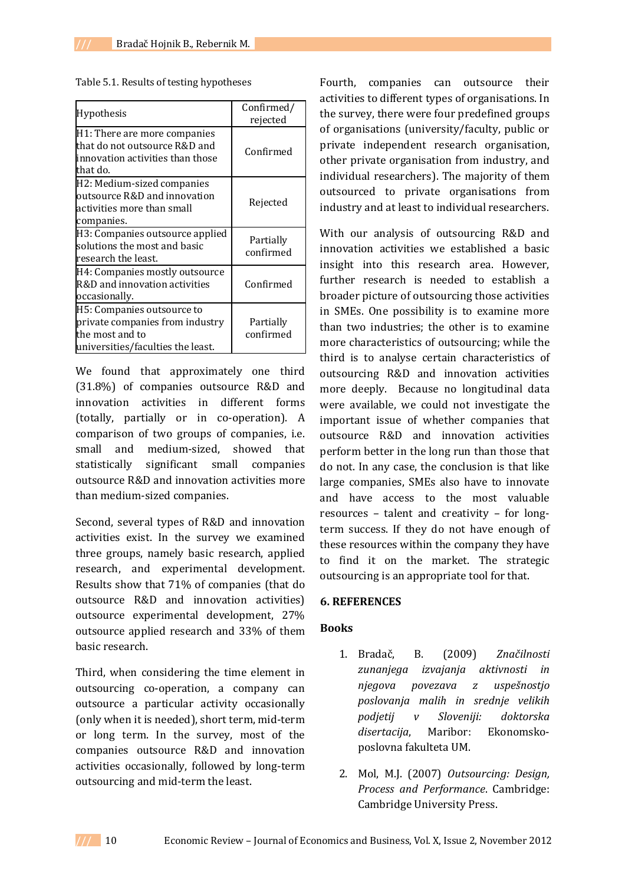| Table 5.1. Results of testing hypotheses |  |
|------------------------------------------|--|
|------------------------------------------|--|

| Hypothesis                                                                                                            | Confirmed/<br>rejected |
|-----------------------------------------------------------------------------------------------------------------------|------------------------|
| H1: There are more companies<br>that do not outsource R&D and<br>innovation activities than those<br>that do.         | Confirmed              |
| H2: Medium-sized companies<br>outsource R&D and innovation<br>activities more than small<br>companies.                | Rejected               |
| H3: Companies outsource applied<br>solutions the most and basic<br>research the least.                                | Partially<br>confirmed |
| H4: Companies mostly outsource<br>R&D and innovation activities<br>occasionally.                                      | Confirmed              |
| H5: Companies outsource to<br>private companies from industry<br>the most and to<br>universities/faculties the least. | Partially<br>confirmed |

We found that approximately one third (31.8%) of companies outsource R&D and innovation activities in different forms (totally, partially or in co-operation). A comparison of two groups of companies, i.e. small and medium-sized, showed that statistically significant small companies outsource R&D and innovation activities more than medium-sized companies.

Second, several types of R&D and innovation activities exist. In the survey we examined three groups, namely basic research, applied research, and experimental development. Results show that 71% of companies (that do outsource R&D and innovation activities) outsource experimental development, 27% outsource applied research and 33% of them basic research.

Third, when considering the time element in outsourcing co-operation, a company can outsource a particular activity occasionally (only when it is needed), short term, mid-term or long term. In the survey, most of the companies outsource R&D and innovation activities occasionally, followed by long-term outsourcing and mid-term the least.

Fourth, companies can outsource their activities to different types of organisations. In the survey, there were four predefined groups of organisations (university/faculty, public or private independent research organisation, other private organisation from industry, and individual researchers). The majority of them outsourced to private organisations from industry and at least to individual researchers.

With our analysis of outsourcing R&D and innovation activities we established a basic insight into this research area. However, further research is needed to establish a broader picture of outsourcing those activities in SMEs. One possibility is to examine more than two industries; the other is to examine more characteristics of outsourcing; while the third is to analyse certain characteristics of outsourcing R&D and innovation activities more deeply. Because no longitudinal data were available, we could not investigate the important issue of whether companies that outsource R&D and innovation activities perform better in the long run than those that do not. In any case, the conclusion is that like large companies, SMEs also have to innovate and have access to the most valuable resources – talent and creativity – for longterm success. If they do not have enough of these resources within the company they have to find it on the market. The strategic outsourcing is an appropriate tool for that.

### **6. REFERENCES**

#### **Books**

- 1. Bradač, B. (2009) *Značilnosti zunanjega izvajanja aktivnosti in njegova povezava z uspešnostjo poslovanja malih in srednje velikih podjetij v Sloveniji: doktorska disertacija*, Maribor: Ekonomskoposlovna fakulteta UM.
- 2. Mol, M.J. (2007) *Outsourcing: Design, Process and Performance*. Cambridge: Cambridge University Press.